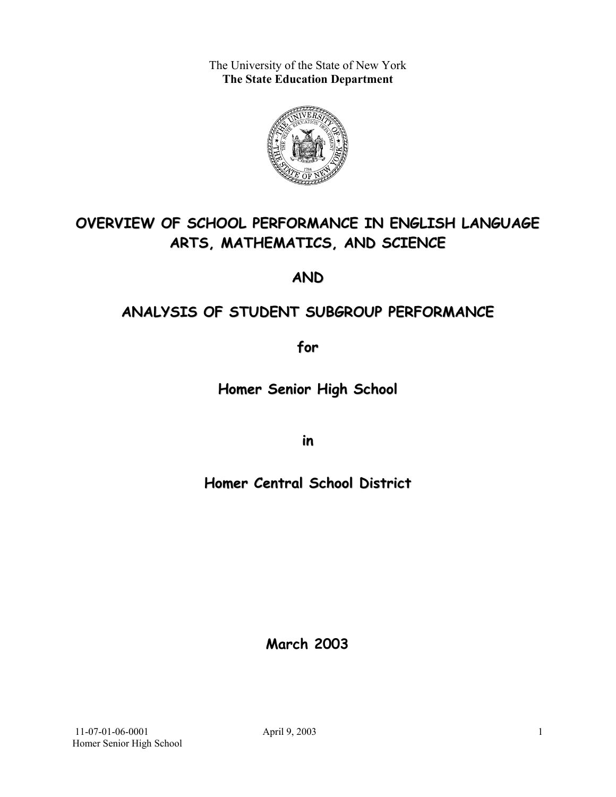The University of the State of New York **The State Education Department** 



# **OVERVIEW OF SCHOOL PERFORMANCE IN ENGLISH LANGUAGE ARTS, MATHEMATICS, AND SCIENCE**

**AND**

# **ANALYSIS OF STUDENT SUBGROUP PERFORMANCE**

**for**

**Homer Senior High School**

**in**

# **Homer Central School District**

**March 2003**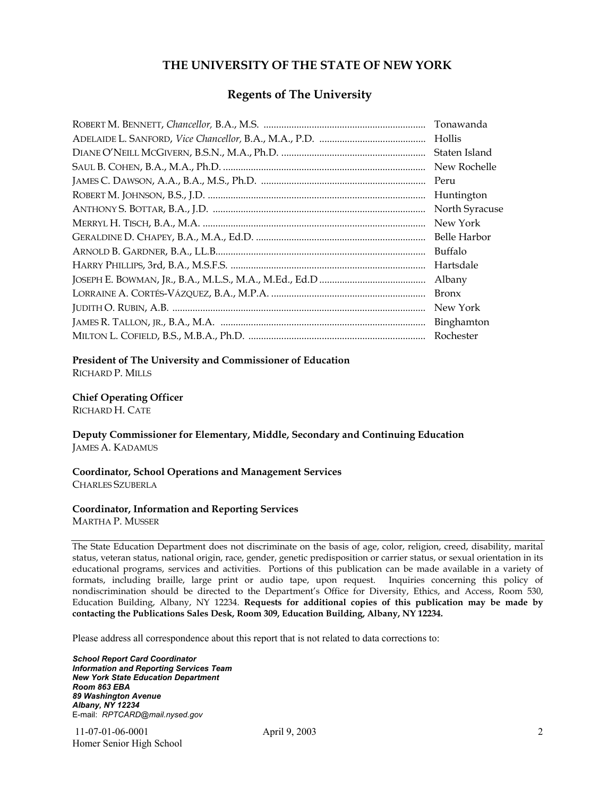### **THE UNIVERSITY OF THE STATE OF NEW YORK**

#### **Regents of The University**

| Tonawanda      |
|----------------|
| Hollis         |
| Staten Island  |
| New Rochelle   |
| Peru           |
| Huntington     |
| North Syracuse |
| New York       |
| Belle Harbor   |
| Buffalo        |
| Hartsdale      |
| Albany         |
| <b>Bronx</b>   |
| New York       |
|                |
| Rochester      |

#### **President of The University and Commissioner of Education**

RICHARD P. MILLS

#### **Chief Operating Officer**

RICHARD H. CATE

**Deputy Commissioner for Elementary, Middle, Secondary and Continuing Education**  JAMES A. KADAMUS

#### **Coordinator, School Operations and Management Services**  CHARLES SZUBERLA

#### **Coordinator, Information and Reporting Services**

MARTHA P. MUSSER

The State Education Department does not discriminate on the basis of age, color, religion, creed, disability, marital status, veteran status, national origin, race, gender, genetic predisposition or carrier status, or sexual orientation in its educational programs, services and activities. Portions of this publication can be made available in a variety of formats, including braille, large print or audio tape, upon request. Inquiries concerning this policy of nondiscrimination should be directed to the Department's Office for Diversity, Ethics, and Access, Room 530, Education Building, Albany, NY 12234. **Requests for additional copies of this publication may be made by contacting the Publications Sales Desk, Room 309, Education Building, Albany, NY 12234.** 

Please address all correspondence about this report that is not related to data corrections to:

*School Report Card Coordinator Information and Reporting Services Team New York State Education Department Room 863 EBA 89 Washington Avenue Albany, NY 12234*  E-mail: *RPTCARD@mail.nysed.gov*

 11-07-01-06-0001 April 9, 2003 Homer Senior High School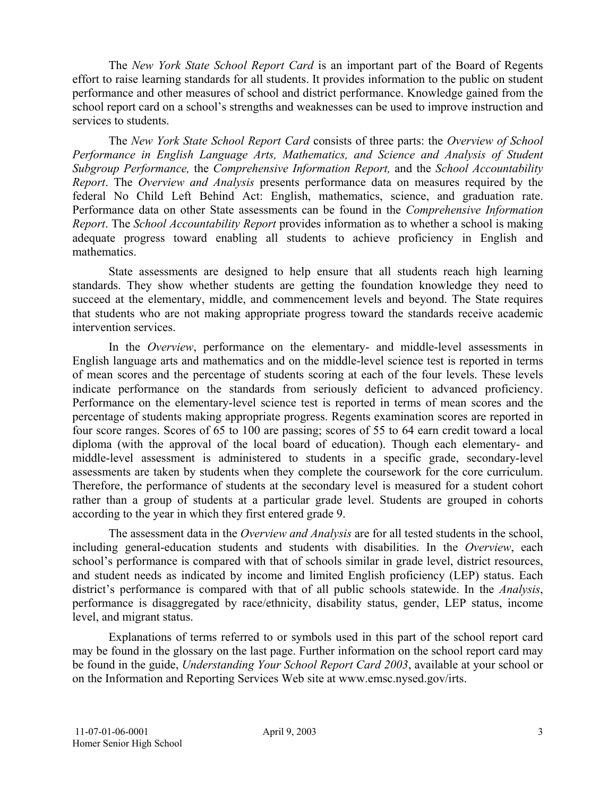The *New York State School Report Card* is an important part of the Board of Regents effort to raise learning standards for all students. It provides information to the public on student performance and other measures of school and district performance. Knowledge gained from the school report card on a school's strengths and weaknesses can be used to improve instruction and services to students.

The *New York State School Report Card* consists of three parts: the *Overview of School Performance in English Language Arts, Mathematics, and Science and Analysis of Student Subgroup Performance,* the *Comprehensive Information Report,* and the *School Accountability Report*. The *Overview and Analysis* presents performance data on measures required by the federal No Child Left Behind Act: English, mathematics, science, and graduation rate. Performance data on other State assessments can be found in the *Comprehensive Information Report*. The *School Accountability Report* provides information as to whether a school is making adequate progress toward enabling all students to achieve proficiency in English and mathematics.

State assessments are designed to help ensure that all students reach high learning standards. They show whether students are getting the foundation knowledge they need to succeed at the elementary, middle, and commencement levels and beyond. The State requires that students who are not making appropriate progress toward the standards receive academic intervention services.

In the *Overview*, performance on the elementary- and middle-level assessments in English language arts and mathematics and on the middle-level science test is reported in terms of mean scores and the percentage of students scoring at each of the four levels. These levels indicate performance on the standards from seriously deficient to advanced proficiency. Performance on the elementary-level science test is reported in terms of mean scores and the percentage of students making appropriate progress. Regents examination scores are reported in four score ranges. Scores of 65 to 100 are passing; scores of 55 to 64 earn credit toward a local diploma (with the approval of the local board of education). Though each elementary- and middle-level assessment is administered to students in a specific grade, secondary-level assessments are taken by students when they complete the coursework for the core curriculum. Therefore, the performance of students at the secondary level is measured for a student cohort rather than a group of students at a particular grade level. Students are grouped in cohorts according to the year in which they first entered grade 9.

The assessment data in the *Overview and Analysis* are for all tested students in the school, including general-education students and students with disabilities. In the *Overview*, each school's performance is compared with that of schools similar in grade level, district resources, and student needs as indicated by income and limited English proficiency (LEP) status. Each district's performance is compared with that of all public schools statewide. In the *Analysis*, performance is disaggregated by race/ethnicity, disability status, gender, LEP status, income level, and migrant status.

Explanations of terms referred to or symbols used in this part of the school report card may be found in the glossary on the last page. Further information on the school report card may be found in the guide, *Understanding Your School Report Card 2003*, available at your school or on the Information and Reporting Services Web site at www.emsc.nysed.gov/irts.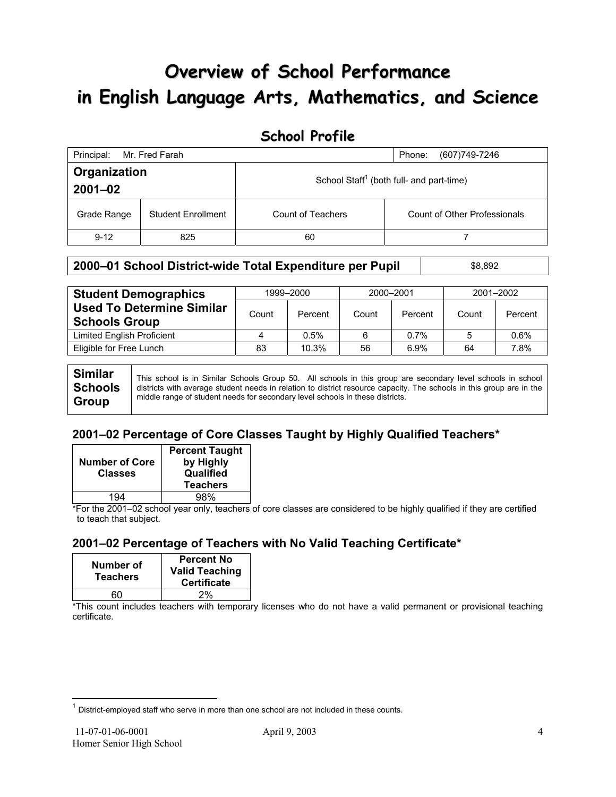# **Overview of School Performance in English Language Arts, Mathematics, and Science**

# **School Profile**

| Principal:                  | Mr. Fred Farah            |                   | (607) 749-7246<br>Phone:                             |
|-----------------------------|---------------------------|-------------------|------------------------------------------------------|
| Organization<br>$2001 - 02$ |                           |                   | School Staff <sup>1</sup> (both full- and part-time) |
| Grade Range                 | <b>Student Enrollment</b> | Count of Teachers | <b>Count of Other Professionals</b>                  |
| $9 - 12$                    | 825                       | 60                |                                                      |

### **2000–01 School District-wide Total Expenditure per Pupil** \$8,892

| <b>Student Demographics</b>                              |       | 1999-2000 |       | 2000-2001 | 2001-2002 |         |  |
|----------------------------------------------------------|-------|-----------|-------|-----------|-----------|---------|--|
| <b>Used To Determine Similar</b><br><b>Schools Group</b> | Count | Percent   | Count | Percent   | Count     | Percent |  |
| Limited English Proficient                               | 4     | 0.5%      | 6     | 0.7%      |           | 0.6%    |  |
| Eligible for Free Lunch                                  | 83    | 10.3%     | 56    | 6.9%      | 64        | 7.8%    |  |
|                                                          |       |           |       |           |           |         |  |

| <b>Similar</b> | This school is in Similar Schools Group 50. All schools in this group are secondary level schools in school                                                                                           |
|----------------|-------------------------------------------------------------------------------------------------------------------------------------------------------------------------------------------------------|
| <b>Schools</b> | districts with average student needs in relation to district resource capacity. The schools in this group are in the<br>middle range of student needs for secondary level schools in these districts. |
| <b>Group</b>   |                                                                                                                                                                                                       |

### **2001–02 Percentage of Core Classes Taught by Highly Qualified Teachers\***

| <b>Number of Core</b><br><b>Classes</b> | <b>Percent Taught</b><br>by Highly<br>Qualified<br><b>Teachers</b> |
|-----------------------------------------|--------------------------------------------------------------------|
| 1 Q 4                                   | 98%                                                                |

\*For the 2001–02 school year only, teachers of core classes are considered to be highly qualified if they are certified to teach that subject.

### **2001–02 Percentage of Teachers with No Valid Teaching Certificate\***

| Number of<br><b>Teachers</b> | <b>Percent No</b><br><b>Valid Teaching</b><br><b>Certificate</b> |
|------------------------------|------------------------------------------------------------------|
| הה                           | 2%                                                               |

\*This count includes teachers with temporary licenses who do not have a valid permanent or provisional teaching certificate.

 $\overline{a}$ 

 $1$  District-employed staff who serve in more than one school are not included in these counts.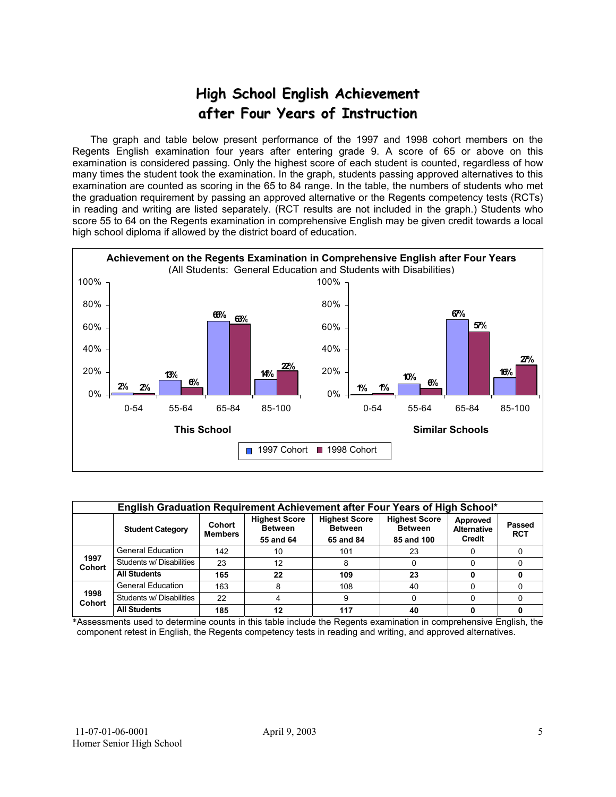# **High School English Achievement after Four Years of Instruction**

 The graph and table below present performance of the 1997 and 1998 cohort members on the Regents English examination four years after entering grade 9. A score of 65 or above on this examination is considered passing. Only the highest score of each student is counted, regardless of how many times the student took the examination. In the graph, students passing approved alternatives to this examination are counted as scoring in the 65 to 84 range. In the table, the numbers of students who met the graduation requirement by passing an approved alternative or the Regents competency tests (RCTs) in reading and writing are listed separately. (RCT results are not included in the graph.) Students who score 55 to 64 on the Regents examination in comprehensive English may be given credit towards a local high school diploma if allowed by the district board of education.



| English Graduation Requirement Achievement after Four Years of High School* |                          |                          |                                                     |                                                                                                             |    |                                          |                      |  |  |  |
|-----------------------------------------------------------------------------|--------------------------|--------------------------|-----------------------------------------------------|-------------------------------------------------------------------------------------------------------------|----|------------------------------------------|----------------------|--|--|--|
|                                                                             | <b>Student Category</b>  | Cohort<br><b>Members</b> | <b>Highest Score</b><br><b>Between</b><br>55 and 64 | <b>Highest Score</b><br><b>Highest Score</b><br><b>Between</b><br><b>Between</b><br>85 and 100<br>65 and 84 |    | Approved<br><b>Alternative</b><br>Credit | Passed<br><b>RCT</b> |  |  |  |
|                                                                             | <b>General Education</b> | 142                      | 10                                                  | 101                                                                                                         | 23 |                                          |                      |  |  |  |
| 1997<br><b>Cohort</b>                                                       | Students w/ Disabilities | 23                       | 12                                                  |                                                                                                             |    |                                          |                      |  |  |  |
|                                                                             | <b>All Students</b>      | 165                      | 22                                                  | 109                                                                                                         | 23 |                                          |                      |  |  |  |
|                                                                             | <b>General Education</b> | 163                      | 8                                                   | 108                                                                                                         | 40 |                                          |                      |  |  |  |
| 1998<br><b>Cohort</b>                                                       | Students w/ Disabilities | 22                       | 4                                                   | 9                                                                                                           |    |                                          |                      |  |  |  |
|                                                                             | <b>All Students</b>      | 185                      | 12                                                  | 117                                                                                                         | 40 |                                          |                      |  |  |  |

\*Assessments used to determine counts in this table include the Regents examination in comprehensive English, the component retest in English, the Regents competency tests in reading and writing, and approved alternatives.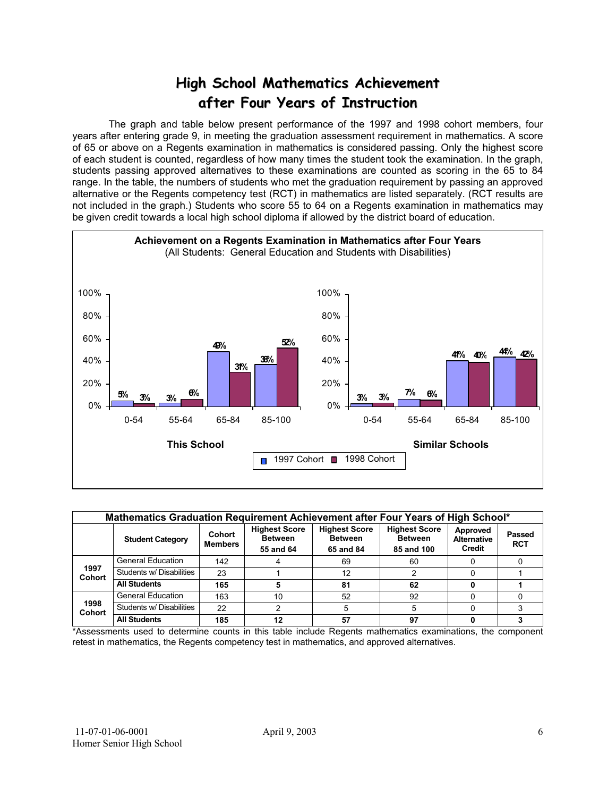# **High School Mathematics Achievement after Four Years of Instruction**

 The graph and table below present performance of the 1997 and 1998 cohort members, four years after entering grade 9, in meeting the graduation assessment requirement in mathematics. A score of 65 or above on a Regents examination in mathematics is considered passing. Only the highest score of each student is counted, regardless of how many times the student took the examination. In the graph, students passing approved alternatives to these examinations are counted as scoring in the 65 to 84 range. In the table, the numbers of students who met the graduation requirement by passing an approved alternative or the Regents competency test (RCT) in mathematics are listed separately. (RCT results are not included in the graph.) Students who score 55 to 64 on a Regents examination in mathematics may be given credit towards a local high school diploma if allowed by the district board of education.



| Mathematics Graduation Requirement Achievement after Four Years of High School* |                          |                          |                                                     |                                                     |                                                      |                                          |                      |  |  |  |
|---------------------------------------------------------------------------------|--------------------------|--------------------------|-----------------------------------------------------|-----------------------------------------------------|------------------------------------------------------|------------------------------------------|----------------------|--|--|--|
|                                                                                 | <b>Student Category</b>  | Cohort<br><b>Members</b> | <b>Highest Score</b><br><b>Between</b><br>55 and 64 | <b>Highest Score</b><br><b>Between</b><br>65 and 84 | <b>Highest Score</b><br><b>Between</b><br>85 and 100 | Approved<br><b>Alternative</b><br>Credit | Passed<br><b>RCT</b> |  |  |  |
|                                                                                 | <b>General Education</b> | 142                      |                                                     | 69                                                  | 60                                                   |                                          |                      |  |  |  |
| 1997<br><b>Cohort</b>                                                           | Students w/ Disabilities | 23                       |                                                     | 12                                                  |                                                      |                                          |                      |  |  |  |
|                                                                                 | <b>All Students</b>      | 165                      |                                                     | 81                                                  | 62                                                   |                                          |                      |  |  |  |
|                                                                                 | <b>General Education</b> | 163                      | 10                                                  | 52                                                  | 92                                                   |                                          |                      |  |  |  |
| 1998<br><b>Cohort</b>                                                           | Students w/ Disabilities | 22                       |                                                     |                                                     | 5                                                    |                                          |                      |  |  |  |
|                                                                                 | <b>All Students</b>      | 185                      | 12                                                  | 57                                                  | 97                                                   |                                          |                      |  |  |  |

\*Assessments used to determine counts in this table include Regents mathematics examinations, the component retest in mathematics, the Regents competency test in mathematics, and approved alternatives.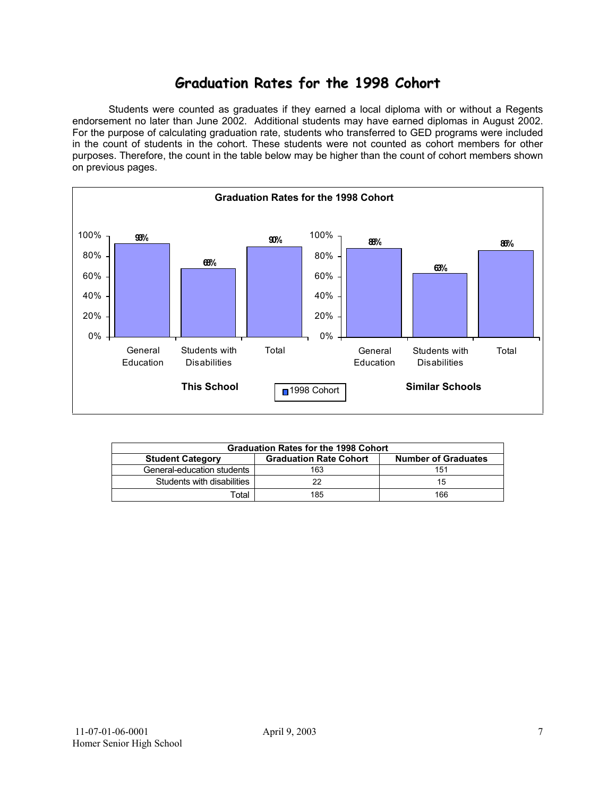# **Graduation Rates for the 1998 Cohort**

 Students were counted as graduates if they earned a local diploma with or without a Regents endorsement no later than June 2002. Additional students may have earned diplomas in August 2002. For the purpose of calculating graduation rate, students who transferred to GED programs were included in the count of students in the cohort. These students were not counted as cohort members for other purposes. Therefore, the count in the table below may be higher than the count of cohort members shown on previous pages.



| <b>Graduation Rates for the 1998 Cohort</b>                                            |     |     |  |  |  |  |  |  |
|----------------------------------------------------------------------------------------|-----|-----|--|--|--|--|--|--|
| <b>Graduation Rate Cohort</b><br><b>Number of Graduates</b><br><b>Student Category</b> |     |     |  |  |  |  |  |  |
| General-education students                                                             | 163 | 151 |  |  |  |  |  |  |
| Students with disabilities                                                             | つつ  | 15  |  |  |  |  |  |  |
| Гоtal                                                                                  | 185 | 166 |  |  |  |  |  |  |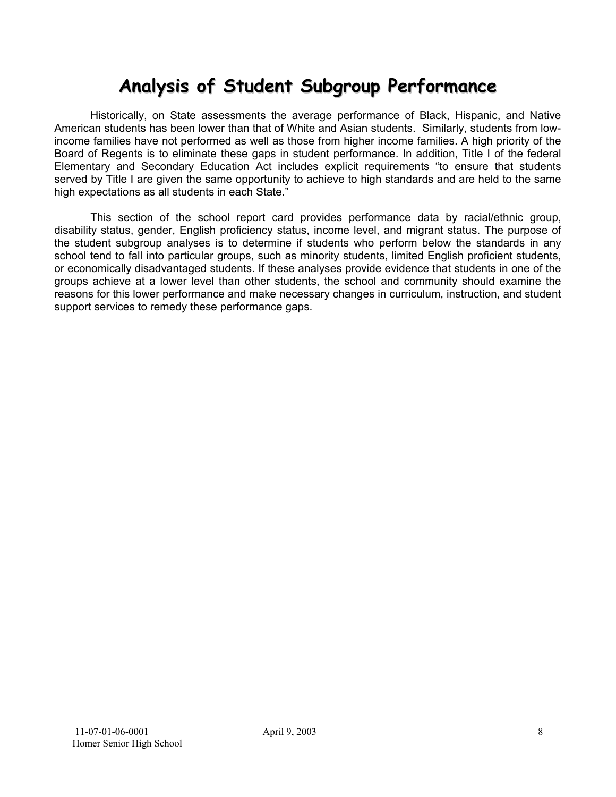# **Analysis of Student Subgroup Performance**

Historically, on State assessments the average performance of Black, Hispanic, and Native American students has been lower than that of White and Asian students. Similarly, students from lowincome families have not performed as well as those from higher income families. A high priority of the Board of Regents is to eliminate these gaps in student performance. In addition, Title I of the federal Elementary and Secondary Education Act includes explicit requirements "to ensure that students served by Title I are given the same opportunity to achieve to high standards and are held to the same high expectations as all students in each State."

This section of the school report card provides performance data by racial/ethnic group, disability status, gender, English proficiency status, income level, and migrant status. The purpose of the student subgroup analyses is to determine if students who perform below the standards in any school tend to fall into particular groups, such as minority students, limited English proficient students, or economically disadvantaged students. If these analyses provide evidence that students in one of the groups achieve at a lower level than other students, the school and community should examine the reasons for this lower performance and make necessary changes in curriculum, instruction, and student support services to remedy these performance gaps.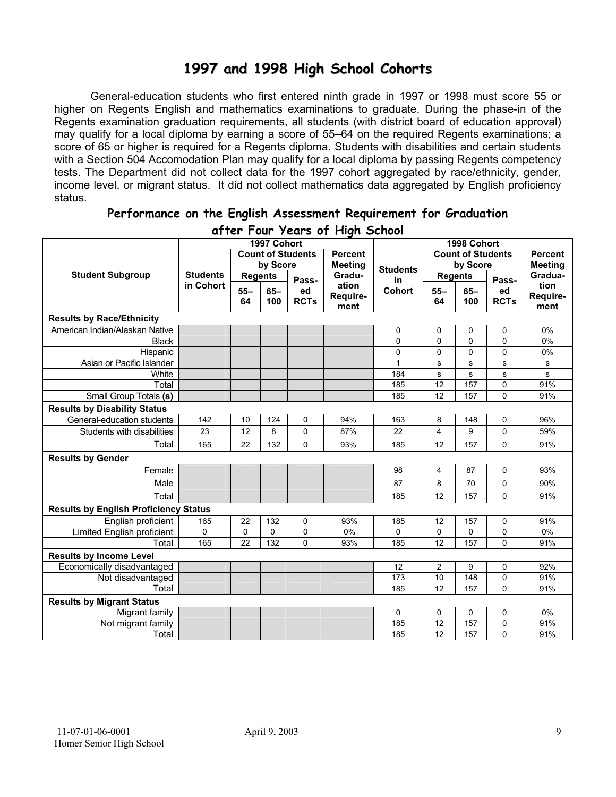# **1997 and 1998 High School Cohorts**

General-education students who first entered ninth grade in 1997 or 1998 must score 55 or higher on Regents English and mathematics examinations to graduate. During the phase-in of the Regents examination graduation requirements, all students (with district board of education approval) may qualify for a local diploma by earning a score of 55–64 on the required Regents examinations; a score of 65 or higher is required for a Regents diploma. Students with disabilities and certain students with a Section 504 Accomodation Plan may qualify for a local diploma by passing Regents competency tests. The Department did not collect data for the 1997 cohort aggregated by race/ethnicity, gender, income level, or migrant status. It did not collect mathematics data aggregated by English proficiency status.

| aller Four years of Filgh School             |                 |                |             |                          |                  |                 |                          |                |             |                  |
|----------------------------------------------|-----------------|----------------|-------------|--------------------------|------------------|-----------------|--------------------------|----------------|-------------|------------------|
|                                              |                 |                | 1997 Cohort |                          |                  |                 |                          | 1998 Cohort    |             |                  |
|                                              |                 |                |             | <b>Count of Students</b> | <b>Percent</b>   |                 | <b>Count of Students</b> |                |             | <b>Percent</b>   |
|                                              |                 |                | by Score    |                          | <b>Meeting</b>   | <b>Students</b> |                          | by Score       |             | <b>Meeting</b>   |
| <b>Student Subgroup</b>                      | <b>Students</b> | <b>Regents</b> |             | Pass-                    | Gradu-           | in              |                          | <b>Regents</b> | Pass-       | Gradua-          |
|                                              | in Cohort       | $55 -$         | $65 -$      | ed                       | ation            | Cohort          | $55 -$                   | $65-$          | ed          | tion             |
|                                              |                 | 64             | 100         | <b>RCTs</b>              | Require-<br>ment |                 | 64                       | 100            | <b>RCTs</b> | Require-<br>ment |
| <b>Results by Race/Ethnicity</b>             |                 |                |             |                          |                  |                 |                          |                |             |                  |
| American Indian/Alaskan Native               |                 |                |             |                          |                  | 0               | 0                        | 0              | 0           | 0%               |
| <b>Black</b>                                 |                 |                |             |                          |                  | 0               | $\mathbf 0$              | 0              | 0           | 0%               |
| Hispanic                                     |                 |                |             |                          |                  | 0               | 0                        | $\mathbf 0$    | 0           | 0%               |
| Asian or Pacific Islander                    |                 |                |             |                          |                  | $\mathbf{1}$    | s                        | $\mathbf s$    | S           | s                |
| White                                        |                 |                |             |                          |                  | 184             | s                        | s              | s           | s                |
| Total                                        |                 |                |             |                          |                  | 185             | 12                       | 157            | 0           | 91%              |
| Small Group Totals (s)                       |                 |                |             |                          |                  | 185             | 12                       | 157            | 0           | 91%              |
| <b>Results by Disability Status</b>          |                 |                |             |                          |                  |                 |                          |                |             |                  |
| General-education students                   | 142             | 10             | 124         | 0                        | 94%              | 163             | 8                        | 148            | 0           | 96%              |
| Students with disabilities                   | 23              | 12             | 8           | $\Omega$                 | 87%              | 22              | 4                        | 9              | 0           | 59%              |
| Total                                        | 165             | 22             | 132         | $\Omega$                 | 93%              | 185             | 12                       | 157            | 0           | 91%              |
| <b>Results by Gender</b>                     |                 |                |             |                          |                  |                 |                          |                |             |                  |
| Female                                       |                 |                |             |                          |                  | 98              | 4                        | 87             | 0           | 93%              |
| Male                                         |                 |                |             |                          |                  | 87              | 8                        | 70             | 0           | 90%              |
| Total                                        |                 |                |             |                          |                  | 185             | 12                       | 157            | 0           | 91%              |
| <b>Results by English Proficiency Status</b> |                 |                |             |                          |                  |                 |                          |                |             |                  |
| English proficient                           | 165             | 22             | 132         | 0                        | 93%              | 185             | 12                       | 157            | 0           | 91%              |
| Limited English proficient                   | 0               | $\mathbf 0$    | 0           | 0                        | 0%               | 0               | $\mathbf 0$              | 0              | 0           | 0%               |
| Total                                        | 165             | 22             | 132         | $\mathbf 0$              | 93%              | 185             | 12                       | 157            | 0           | 91%              |
| <b>Results by Income Level</b>               |                 |                |             |                          |                  |                 |                          |                |             |                  |
| Economically disadvantaged                   |                 |                |             |                          |                  | 12              | $\overline{2}$           | 9              | 0           | 92%              |
| Not disadvantaged                            |                 |                |             |                          |                  | 173             | 10                       | 148            | 0           | 91%              |
| Total                                        |                 |                |             |                          |                  | 185             | 12                       | 157            | 0           | 91%              |
| <b>Results by Migrant Status</b>             |                 |                |             |                          |                  |                 |                          |                |             |                  |
| Migrant family                               |                 |                |             |                          |                  | 0               | 0                        | $\mathbf 0$    | 0           | 0%               |
| Not migrant family                           |                 |                |             |                          |                  | 185             | $\overline{12}$          | 157            | 0           | 91%              |
| Total                                        |                 |                |             |                          |                  | 185             | 12                       | 157            | 0           | 91%              |

#### **Performance on the English Assessment Requirement for Graduation after Four Years of High School**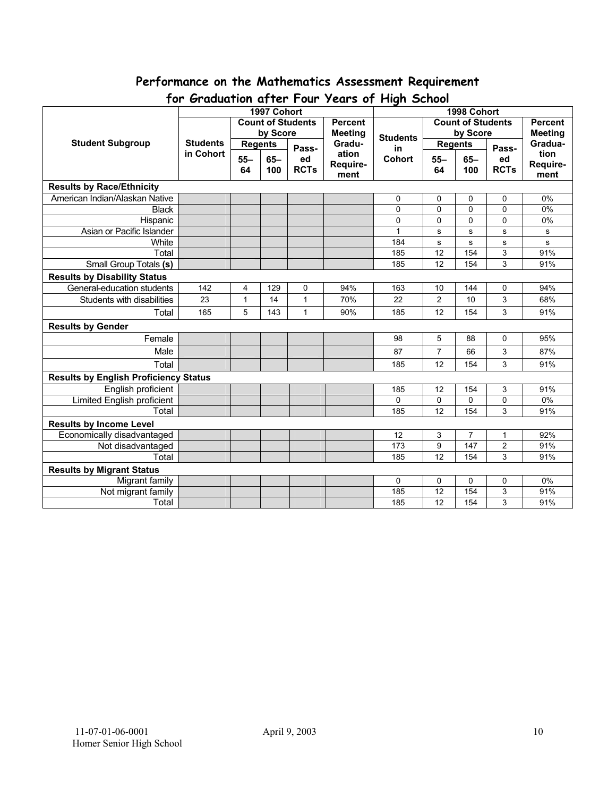# **Performance on the Mathematics Assessment Requirement**

| יש ו<br><b>U</b> duudituti ujiel 1 bul<br>1997 Cohort |                          |                |          |                | $1$ cuts by The street<br>1998 Cohort |                          |                |             |                         |          |
|-------------------------------------------------------|--------------------------|----------------|----------|----------------|---------------------------------------|--------------------------|----------------|-------------|-------------------------|----------|
|                                                       | <b>Count of Students</b> |                |          | <b>Percent</b> |                                       | <b>Count of Students</b> |                |             | <b>Percent</b>          |          |
|                                                       |                          |                | by Score |                | <b>Meeting</b>                        |                          | by Score       |             | <b>Meeting</b>          |          |
| <b>Student Subgroup</b>                               | <b>Students</b>          | <b>Regents</b> |          |                | Gradu-                                | <b>Students</b>          | <b>Regents</b> |             |                         | Gradua-  |
|                                                       | in Cohort                |                |          | Pass-          | ation                                 | in                       |                |             | Pass-                   | tion     |
|                                                       |                          | $55 -$         | $65 -$   | ed             | Require-                              | <b>Cohort</b>            | $55 -$         | $65-$       | ed                      | Require- |
|                                                       |                          | 64             | 100      | <b>RCTs</b>    | ment                                  |                          | 64             | 100         | <b>RCTs</b>             | ment     |
| <b>Results by Race/Ethnicity</b>                      |                          |                |          |                |                                       |                          |                |             |                         |          |
| American Indian/Alaskan Native                        |                          |                |          |                |                                       | 0                        | 0              | 0           | 0                       | 0%       |
| <b>Black</b>                                          |                          |                |          |                |                                       | 0                        | $\mathbf{0}$   | $\mathbf 0$ | 0                       | 0%       |
| Hispanic                                              |                          |                |          |                |                                       | 0                        | $\Omega$       | 0           | 0                       | 0%       |
| Asian or Pacific Islander                             |                          |                |          |                |                                       | 1                        | s              | ${\bf s}$   | s                       | s        |
| White                                                 |                          |                |          |                |                                       | 184                      | s              | s           | s                       | s        |
| Total                                                 |                          |                |          |                |                                       | 185                      | 12             | 154         | $\overline{3}$          | 91%      |
| Small Group Totals (s)                                |                          |                |          |                |                                       | 185                      | 12             | 154         | 3                       | 91%      |
| <b>Results by Disability Status</b>                   |                          |                |          |                |                                       |                          |                |             |                         |          |
| General-education students                            | 142                      | 4              | 129      | 0              | 94%                                   | 163                      | 10             | 144         | 0                       | 94%      |
| Students with disabilities                            | 23                       | $\mathbf{1}$   | 14       | $\mathbf{1}$   | 70%                                   | 22                       | $\overline{2}$ | 10          | 3                       | 68%      |
| Total                                                 | 165                      | 5              | 143      | $\mathbf{1}$   | 90%                                   | 185                      | 12             | 154         | 3                       | 91%      |
| <b>Results by Gender</b>                              |                          |                |          |                |                                       |                          |                |             |                         |          |
| Female                                                |                          |                |          |                |                                       | 98                       | 5              | 88          | 0                       | 95%      |
| Male                                                  |                          |                |          |                |                                       | 87                       | $\overline{7}$ | 66          | 3                       | 87%      |
| Total                                                 |                          |                |          |                |                                       | 185                      | 12             | 154         | 3                       | 91%      |
| <b>Results by English Proficiency Status</b>          |                          |                |          |                |                                       |                          |                |             |                         |          |
| English proficient                                    |                          |                |          |                |                                       | 185                      | 12             | 154         | 3                       | 91%      |
| <b>Limited English proficient</b>                     |                          |                |          |                |                                       | $\Omega$                 | $\Omega$       | 0           | 0                       | 0%       |
| Total                                                 |                          |                |          |                |                                       | 185                      | 12             | 154         | 3                       | 91%      |
| <b>Results by Income Level</b>                        |                          |                |          |                |                                       |                          |                |             |                         |          |
| Economically disadvantaged                            |                          |                |          |                |                                       | 12                       | 3              | 7           | 1                       | 92%      |
| Not disadvantaged                                     |                          |                |          |                |                                       | 173                      | 9              | 147         | $\overline{\mathbf{c}}$ | 91%      |
| Total                                                 |                          |                |          |                |                                       | 185                      | 12             | 154         | 3                       | 91%      |
| <b>Results by Migrant Status</b>                      |                          |                |          |                |                                       |                          |                |             |                         |          |
| Migrant family                                        |                          |                |          |                |                                       | 0                        | 0              | 0           | 0                       | 0%       |
| Not migrant family                                    |                          |                |          |                |                                       | 185                      | 12             | 154         | 3                       | 91%      |
| Total                                                 |                          |                |          |                |                                       | 185                      | 12             | 154         | 3                       | 91%      |

# **for Graduation after Four Years of High School**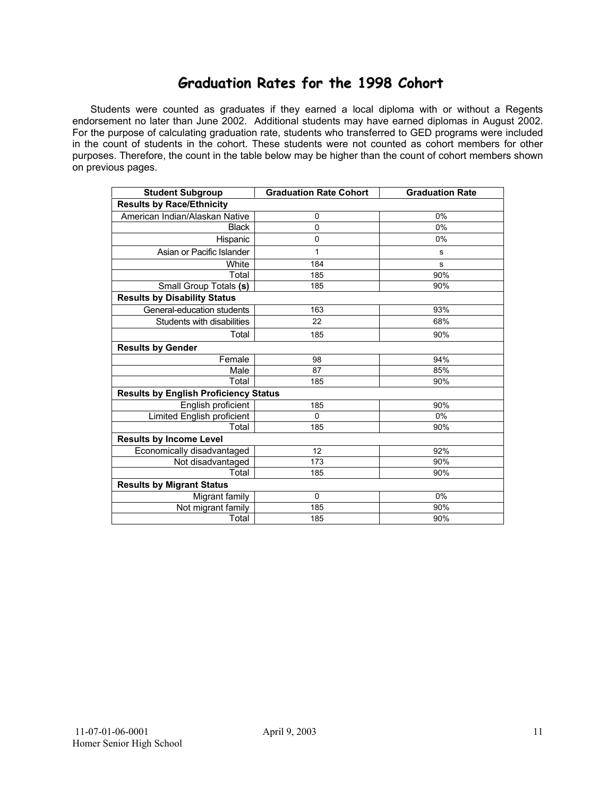## **Graduation Rates for the 1998 Cohort**

 Students were counted as graduates if they earned a local diploma with or without a Regents endorsement no later than June 2002. Additional students may have earned diplomas in August 2002. For the purpose of calculating graduation rate, students who transferred to GED programs were included in the count of students in the cohort. These students were not counted as cohort members for other purposes. Therefore, the count in the table below may be higher than the count of cohort members shown on previous pages.

| <b>Student Subgroup</b>                      | <b>Graduation Rate Cohort</b> | <b>Graduation Rate</b> |  |  |  |  |  |  |  |
|----------------------------------------------|-------------------------------|------------------------|--|--|--|--|--|--|--|
| <b>Results by Race/Ethnicity</b>             |                               |                        |  |  |  |  |  |  |  |
| American Indian/Alaskan Native               | 0                             | 0%                     |  |  |  |  |  |  |  |
| <b>Black</b>                                 | $\mathbf 0$                   | 0%                     |  |  |  |  |  |  |  |
| Hispanic                                     | 0                             | 0%                     |  |  |  |  |  |  |  |
| Asian or Pacific Islander                    | 1                             | s                      |  |  |  |  |  |  |  |
| White                                        | 184                           | s                      |  |  |  |  |  |  |  |
| Total                                        | 185                           | 90%                    |  |  |  |  |  |  |  |
| Small Group Totals (s)                       | 185                           | 90%                    |  |  |  |  |  |  |  |
| <b>Results by Disability Status</b>          |                               |                        |  |  |  |  |  |  |  |
| General-education students                   | 163                           | 93%                    |  |  |  |  |  |  |  |
| Students with disabilities                   | 22                            | 68%                    |  |  |  |  |  |  |  |
| Total                                        | 185                           | 90%                    |  |  |  |  |  |  |  |
| <b>Results by Gender</b>                     |                               |                        |  |  |  |  |  |  |  |
| Female                                       | 98                            | 94%                    |  |  |  |  |  |  |  |
| Male                                         | 87                            | 85%                    |  |  |  |  |  |  |  |
| Total                                        | 185                           | 90%                    |  |  |  |  |  |  |  |
| <b>Results by English Proficiency Status</b> |                               |                        |  |  |  |  |  |  |  |
| English proficient                           | 185                           | 90%                    |  |  |  |  |  |  |  |
| Limited English proficient                   | $\Omega$                      | 0%                     |  |  |  |  |  |  |  |
| Total                                        | 185                           | 90%                    |  |  |  |  |  |  |  |
| <b>Results by Income Level</b>               |                               |                        |  |  |  |  |  |  |  |
| Economically disadvantaged                   | 12                            | 92%                    |  |  |  |  |  |  |  |
| Not disadvantaged                            | 173                           | 90%                    |  |  |  |  |  |  |  |
| Total                                        | 185                           | 90%                    |  |  |  |  |  |  |  |
| <b>Results by Migrant Status</b>             |                               |                        |  |  |  |  |  |  |  |
| Migrant family                               | 0                             | 0%                     |  |  |  |  |  |  |  |
| Not migrant family                           | 185                           | 90%                    |  |  |  |  |  |  |  |
| Total                                        | 185                           | 90%                    |  |  |  |  |  |  |  |